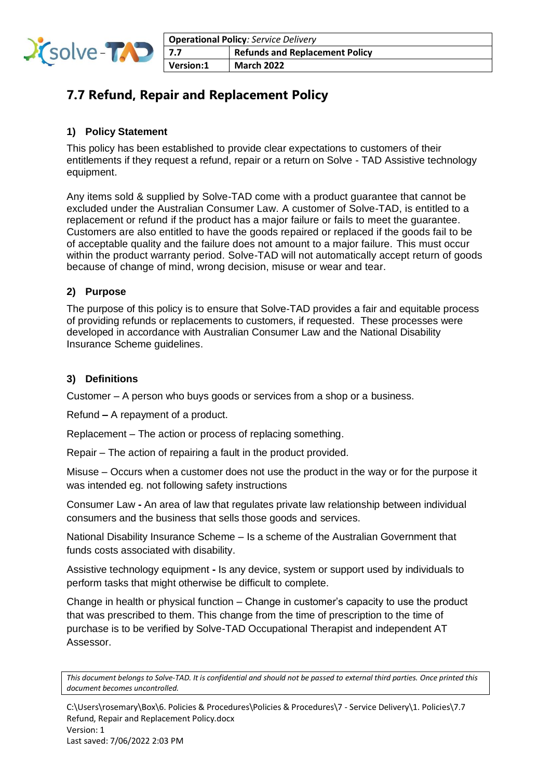

# **7.7 Refund, Repair and Replacement Policy**

## **1) Policy Statement**

This policy has been established to provide clear expectations to customers of their entitlements if they request a refund, repair or a return on Solve - TAD Assistive technology equipment.

Any items sold & supplied by Solve-TAD come with a product guarantee that cannot be excluded under the Australian Consumer Law. A customer of Solve-TAD, is entitled to a replacement or refund if the product has a major failure or fails to meet the guarantee. Customers are also entitled to have the goods repaired or replaced if the goods fail to be of acceptable quality and the failure does not amount to a major failure. This must occur within the product warranty period. Solve-TAD will not automatically accept return of goods because of change of mind, wrong decision, misuse or wear and tear.

## **2) Purpose**

The purpose of this policy is to ensure that Solve-TAD provides a fair and equitable process of providing refunds or replacements to customers, if requested. These processes were developed in accordance with Australian Consumer Law and the National Disability Insurance Scheme guidelines.

## **3) Definitions**

Customer – A person who buys goods or services from a shop or a business.

Refund **–** A repayment of a product.

Replacement – The action or process of replacing something.

Repair – The action of repairing a fault in the product provided.

Misuse – Occurs when a customer does not use the product in the way or for the purpose it was intended eg. not following safety instructions

Consumer Law **-** An area of law that regulates private law relationship between individual consumers and the business that sells those goods and services.

National Disability Insurance Scheme – Is a scheme of the Australian Government that funds costs associated with disability.

Assistive technology equipment **-** Is any device, system or support used by individuals to perform tasks that might otherwise be difficult to complete.

Change in health or physical function – Change in customer's capacity to use the product that was prescribed to them. This change from the time of prescription to the time of purchase is to be verified by Solve-TAD Occupational Therapist and independent AT Assessor.

*This document belongs to Solve-TAD. It is confidential and should not be passed to external third parties. Once printed this document becomes uncontrolled.*

C:\Users\rosemary\Box\6. Policies & Procedures\Policies & Procedures\7 - Service Delivery\1. Policies\7.7 Refund, Repair and Replacement Policy.docx Version: 1 Last saved: 7/06/2022 2:03 PM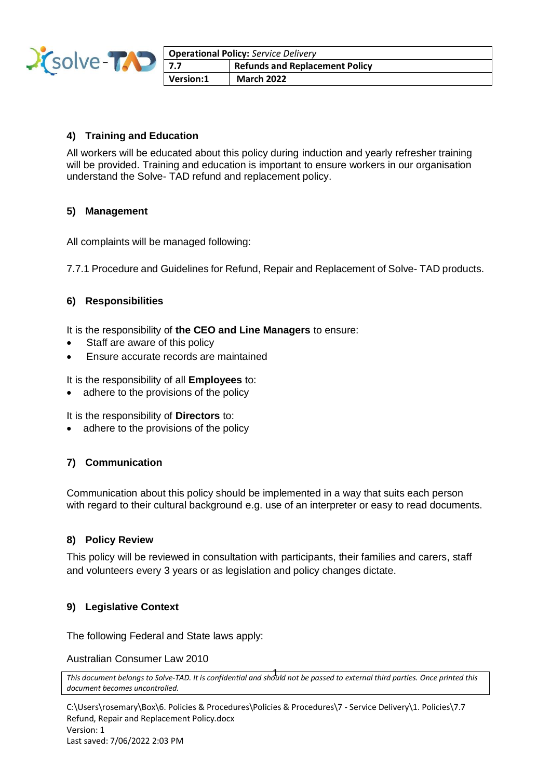

| <b>Operational Policy: Service Delivery</b> |                                       |
|---------------------------------------------|---------------------------------------|
| 7.7                                         | <b>Refunds and Replacement Policy</b> |
| Version:1                                   | <b>March 2022</b>                     |

### **4) Training and Education**

All workers will be educated about this policy during induction and yearly refresher training will be provided. Training and education is important to ensure workers in our organisation understand the Solve- TAD refund and replacement policy.

#### **5) Management**

All complaints will be managed following:

7.7.1 Procedure and Guidelines for Refund, Repair and Replacement of Solve- TAD products.

#### **6) Responsibilities**

It is the responsibility of **the CEO and Line Managers** to ensure:

- Staff are aware of this policy
- Ensure accurate records are maintained

It is the responsibility of all **Employees** to:

• adhere to the provisions of the policy

It is the responsibility of **Directors** to:

• adhere to the provisions of the policy

#### **7) Communication**

Communication about this policy should be implemented in a way that suits each person with regard to their cultural background e.g. use of an interpreter or easy to read documents.

#### **8) Policy Review**

This policy will be reviewed in consultation with participants, their families and carers, staff and volunteers every 3 years or as legislation and policy changes dictate.

#### **9) Legislative Context**

The following Federal and State laws apply:

Australian Consumer Law 2010

```
This document belongs to Solve-TAD. It is confidential and should not be passed to external third parties. Once printed this 
1
document becomes uncontrolled.
```
C:\Users\rosemary\Box\6. Policies & Procedures\Policies & Procedures\7 - Service Delivery\1. Policies\7.7 Refund, Repair and Replacement Policy.docx Version: 1 Last saved: 7/06/2022 2:03 PM